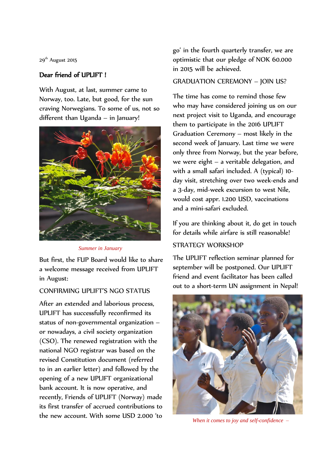29<sup>th</sup> August 2015

## Dear friend of UPLIFT !

With August, at last, summer came to Norway, too. Late, but good, for the sun craving Norwegians. To some of us, not so different than Uganda – in January!



*Summer in January*

But first, the FUP Board would like to share a welcome message received from UPLIFT in August:

#### CONFIRMING UPLIFT'S NGO STATUS

After an extended and laborious process, UPLIFT has successfully reconfirmed its status of non-governmental organization – or nowadays, a civil society organization (CSO). The renewed registration with the national NGO registrar was based on the revised Constitution document (referred to in an earlier letter) and followed by the opening of a new UPLIFT organizational bank account. It is now operative, and recently, Friends of UPLIFT (Norway) made its first transfer of accrued contributions to the new account. With some USD 2.000 'to

go' in the fourth quarterly transfer, we are optimistic that our pledge of NOK 60.000 in 2015 will be achieved.

#### GRADUATION CEREMONY – JOIN US?

The time has come to remind those few who may have considered joining us on our next project visit to Uganda, and encourage them to participate in the 2016 UPLIFT Graduation Ceremony – most likely in the second week of January. Last time we were only three from Norway, but the year before, we were eight – a veritable delegation, and with a small safari included. A (typical) 10 day visit, stretching over two week-ends and a 3-day, mid-week excursion to west Nile, would cost appr. 1.200 USD, vaccinations and a mini-safari excluded.

If you are thinking about it, do get in touch for details while airfare is still reasonable!

# STRATEGY WORKSHOP

The UPLIFT reflection seminar planned for september will be postponed. Our UPLIFT friend and event facilitator has been called out to a short-term UN assignment in Nepal!



*When it comes to joy and self-confidence –*